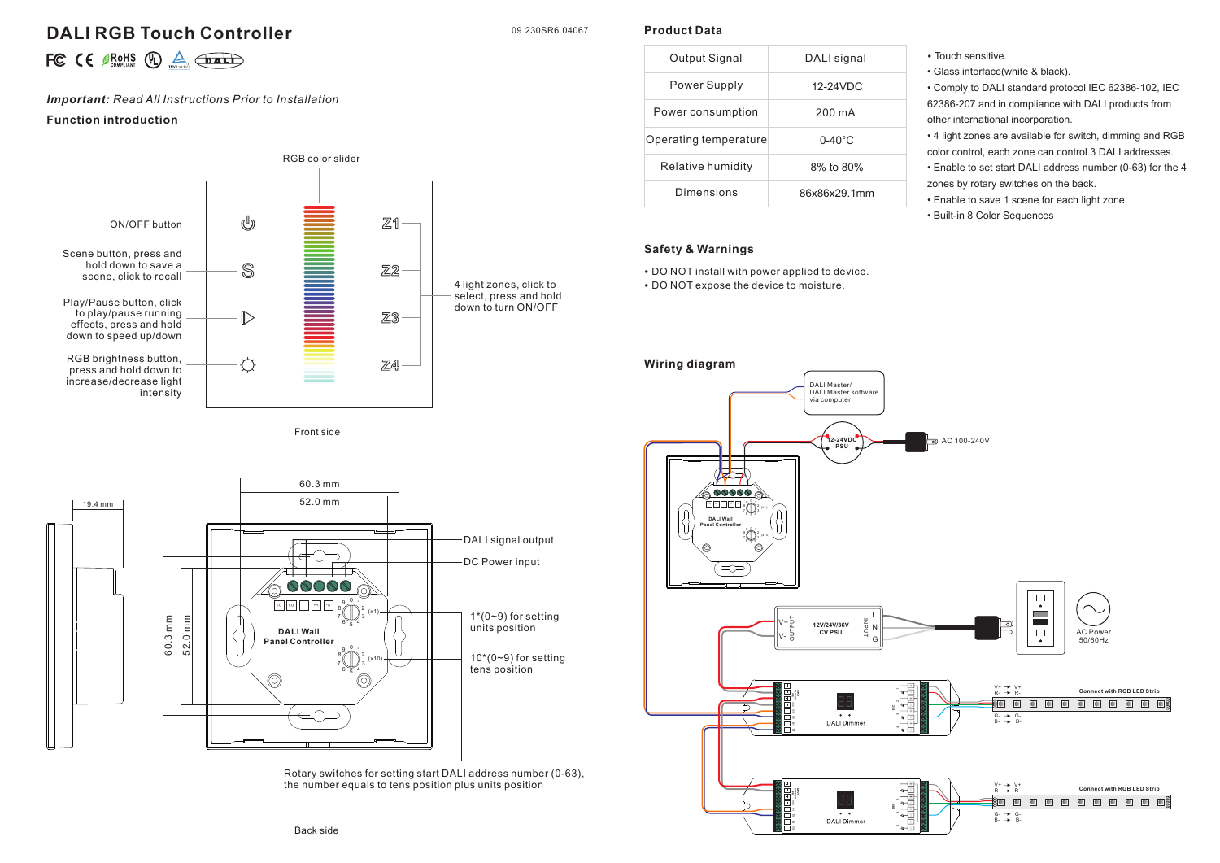# **DALI RGB Touch Controller**

09.230SR6.04067

**Product Data**

|  |  |  |  |  | FC $\in$ $\mathcal{B}_{\text{COMPLAM}}^{ROHS}$ (D) $\triangle$ $\overline{$ <b>DAL</b> |
|--|--|--|--|--|----------------------------------------------------------------------------------------|
|--|--|--|--|--|----------------------------------------------------------------------------------------|

## *Important: Read All Instructions Prior to Installation*

### **Function introduction**



Front side



Rotary switches for setting start DALI address number (0-63), the number equals to tens position plus units position

| Output Signal         | DALI signal        |  |  |
|-----------------------|--------------------|--|--|
| Power Supply          | 12-24VDC           |  |  |
| Power consumption     | 200 mA             |  |  |
| Operating temperature | $0 - 40^{\circ}$ C |  |  |
| Relative humidity     | 8% to 80%          |  |  |
| Dimensions            | 86x86x29 1mm       |  |  |

# **Safety & Warnings**

• DO NOT install with power applied to device. • DO NOT expose the device to moisture.

- Touch sensitive.
	- Glass interface(white & black).

• Comply to DALI standard protocol IEC 62386-102, IEC 62386-207 and in compliance with DALI products from other international incorporation.

• 4 light zones are available for switch, dimming and RGB color control, each zone can control 3 DALI addresses.

• Enable to set start DALI address number (0-63) for the 4 zones by rotary switches on the back.

• Enable to save 1 scene for each light zone

• Built-in 8 Color Sequences